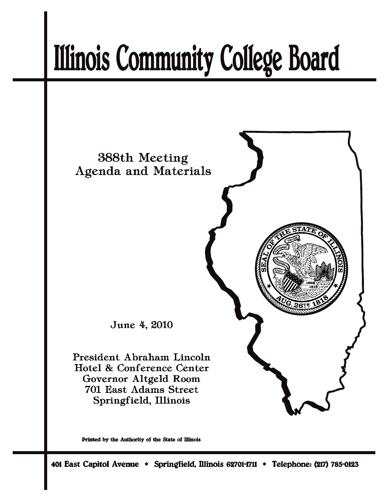# **Illinois Community College Board**



Printed by the Authority of the State of Illinois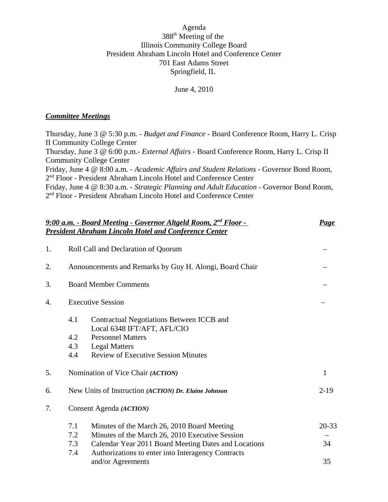## Agenda 388th Meeting of the Illinois Community College Board President Abraham Lincoln Hotel and Conference Center 701 East Adams Street Springfield, IL

June 4, 2010

#### *Committee Meetings*

Thursday, June 3 @ 5:30 p.m. - *Budget and Finance* - Board Conference Room, Harry L. Crisp II Community College Center Thursday, June 3 @ 6:00 p.m.- *External Affairs* - Board Conference Room, Harry L. Crisp II Community College Center Friday, June 4 @ 8:00 a.m. - *Academic Affairs and Student Relations* - Governor Bond Room, 2nd Floor - President Abraham Lincoln Hotel and Conference Center Friday, June 4 @ 8:30 a.m. - *Strategic Planning and Adult Education* - Governor Bond Room, 2nd Floor - President Abraham Lincoln Hotel and Conference Center

| 9:00 a.m. - Board Meeting - Governor Altgeld Room, 2 <sup>nd</sup> Floor -<br><b>President Abraham Lincoln Hotel and Conference Center</b> |                                                                                                                                                                                                                                          |                 |  |
|--------------------------------------------------------------------------------------------------------------------------------------------|------------------------------------------------------------------------------------------------------------------------------------------------------------------------------------------------------------------------------------------|-----------------|--|
| 1.                                                                                                                                         | Roll Call and Declaration of Quorum                                                                                                                                                                                                      |                 |  |
| 2.                                                                                                                                         | Announcements and Remarks by Guy H. Alongi, Board Chair                                                                                                                                                                                  |                 |  |
| 3.                                                                                                                                         | <b>Board Member Comments</b>                                                                                                                                                                                                             |                 |  |
| 4.                                                                                                                                         | <b>Executive Session</b>                                                                                                                                                                                                                 |                 |  |
|                                                                                                                                            | 4.1<br>Contractual Negotiations Between ICCB and<br>Local 6348 IFT/AFT, AFL/CIO<br>4.2<br><b>Personnel Matters</b><br>4.3<br><b>Legal Matters</b><br>4.4<br><b>Review of Executive Session Minutes</b>                                   |                 |  |
| 5.                                                                                                                                         | Nomination of Vice Chair (ACTION)                                                                                                                                                                                                        | 1               |  |
| 6.                                                                                                                                         | New Units of Instruction (ACTION) Dr. Elaine Johnson                                                                                                                                                                                     | $2-19$          |  |
| 7.                                                                                                                                         | Consent Agenda (ACTION)                                                                                                                                                                                                                  |                 |  |
|                                                                                                                                            | 7.1<br>Minutes of the March 26, 2010 Board Meeting<br>7.2<br>Minutes of the March 26, 2010 Executive Session<br>Calendar Year 2011 Board Meeting Dates and Locations<br>7.3<br>Authorizations to enter into Interagency Contracts<br>7.4 | $20 - 33$<br>34 |  |
|                                                                                                                                            | and/or Agreements                                                                                                                                                                                                                        | 35              |  |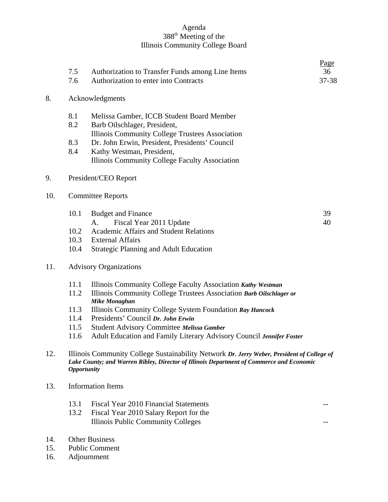## Agenda 388<sup>th</sup> Meeting of the Illinois Community College Board

| 7.5<br>7.6                    | Authorization to Transfer Funds among Line Items<br>Authorization to enter into Contracts                                     | <u>Page</u><br>36<br>37-38                                                                                                                                                                                                                                                                                                 |  |
|-------------------------------|-------------------------------------------------------------------------------------------------------------------------------|----------------------------------------------------------------------------------------------------------------------------------------------------------------------------------------------------------------------------------------------------------------------------------------------------------------------------|--|
| Acknowledgments               |                                                                                                                               |                                                                                                                                                                                                                                                                                                                            |  |
| 8.1<br>8.2                    | Melissa Gamber, ICCB Student Board Member<br>Barb Oilschlager, President,                                                     |                                                                                                                                                                                                                                                                                                                            |  |
| 8.3<br>8.4                    | Dr. John Erwin, President, Presidents' Council<br>Kathy Westman, President,<br>Illinois Community College Faculty Association |                                                                                                                                                                                                                                                                                                                            |  |
|                               |                                                                                                                               |                                                                                                                                                                                                                                                                                                                            |  |
| <b>Committee Reports</b>      |                                                                                                                               |                                                                                                                                                                                                                                                                                                                            |  |
| 10.1                          | <b>Budget and Finance</b><br>Fiscal Year 2011 Update<br>A.                                                                    | 39<br>40                                                                                                                                                                                                                                                                                                                   |  |
| 10.2                          | <b>Academic Affairs and Student Relations</b>                                                                                 |                                                                                                                                                                                                                                                                                                                            |  |
| 10.3                          | <b>External Affairs</b>                                                                                                       |                                                                                                                                                                                                                                                                                                                            |  |
| 10.4                          | <b>Strategic Planning and Adult Education</b>                                                                                 |                                                                                                                                                                                                                                                                                                                            |  |
| <b>Advisory Organizations</b> |                                                                                                                               |                                                                                                                                                                                                                                                                                                                            |  |
| 11.1                          | Illinois Community College Faculty Association Kathy Westman                                                                  |                                                                                                                                                                                                                                                                                                                            |  |
| 11.2                          | Illinois Community College Trustees Association Barb Oilschlager or                                                           |                                                                                                                                                                                                                                                                                                                            |  |
|                               |                                                                                                                               |                                                                                                                                                                                                                                                                                                                            |  |
| 11.4                          | Presidents' Council Dr. John Erwin                                                                                            |                                                                                                                                                                                                                                                                                                                            |  |
| 11.5                          |                                                                                                                               |                                                                                                                                                                                                                                                                                                                            |  |
| 11.6                          | Adult Education and Family Literary Advisory Council Jennifer Foster                                                          |                                                                                                                                                                                                                                                                                                                            |  |
|                               | Illinois Community College Sustainability Network Dr. Jerry Weber, President of College of                                    |                                                                                                                                                                                                                                                                                                                            |  |
| <b>Information Items</b>      |                                                                                                                               |                                                                                                                                                                                                                                                                                                                            |  |
| 13.1<br>13.2                  | Fiscal Year 2010 Financial Statements<br>Fiscal Year 2010 Salary Report for the<br><b>Illinois Public Community Colleges</b>  |                                                                                                                                                                                                                                                                                                                            |  |
| <b>Other Business</b>         |                                                                                                                               |                                                                                                                                                                                                                                                                                                                            |  |
|                               | 11.3                                                                                                                          | Illinois Community College Trustees Association<br>President/CEO Report<br><b>Mike Monaghan</b><br>Illinois Community College System Foundation Ray Hancock<br>Student Advisory Committee Melissa Gamber<br>Lake County; and Warren Ribley, Director of Illinois Department of Commerce and Economic<br><b>Opportunity</b> |  |

15. Public Comment 16. Adjournment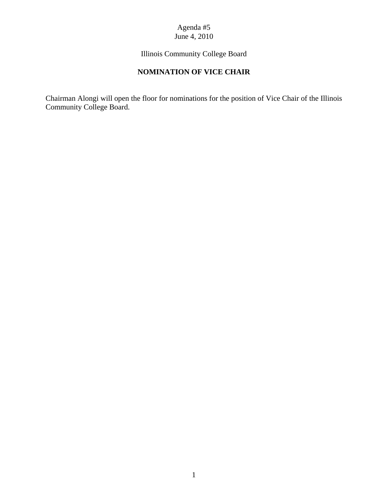## Agenda #5 June 4, 2010

Illinois Community College Board

# **NOMINATION OF VICE CHAIR**

Chairman Alongi will open the floor for nominations for the position of Vice Chair of the Illinois Community College Board.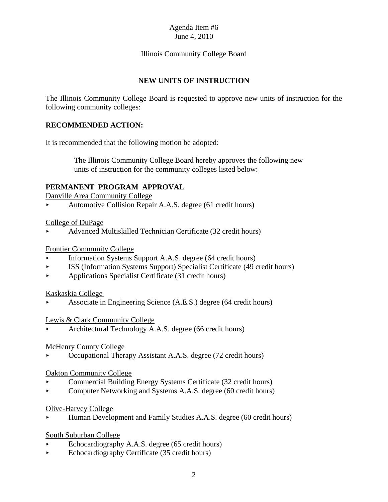## Illinois Community College Board

## **NEW UNITS OF INSTRUCTION**

The Illinois Community College Board is requested to approve new units of instruction for the following community colleges:

#### **RECOMMENDED ACTION:**

It is recommended that the following motion be adopted:

 The Illinois Community College Board hereby approves the following new units of instruction for the community colleges listed below:

#### **PERMANENT PROGRAM APPROVAL**

Danville Area Community College

• Automotive Collision Repair A.A.S. degree (61 credit hours)

#### College of DuPage

< Advanced Multiskilled Technician Certificate (32 credit hours)

#### Frontier Community College

- $\blacktriangleright$  Information Systems Support A.A.S. degree (64 credit hours)
- < ISS (Information Systems Support) Specialist Certificate (49 credit hours)
- < Applications Specialist Certificate (31 credit hours)

#### Kaskaskia College

< Associate in Engineering Science (A.E.S.) degree (64 credit hours)

#### Lewis & Clark Community College

< Architectural Technology A.A.S. degree (66 credit hours)

#### McHenry County College

< Occupational Therapy Assistant A.A.S. degree (72 credit hours)

#### Oakton Community College

- < Commercial Building Energy Systems Certificate (32 credit hours)
- < Computer Networking and Systems A.A.S. degree (60 credit hours)

#### Olive-Harvey College

< Human Development and Family Studies A.A.S. degree (60 credit hours)

#### South Suburban College

- Echocardiography A.A.S. degree (65 credit hours)
- $\blacktriangleright$  Echocardiography Certificate (35 credit hours)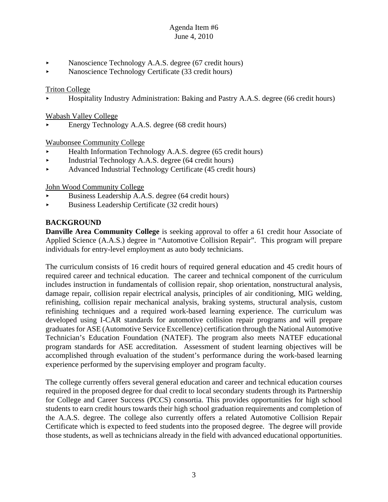- Nanoscience Technology A.A.S. degree (67 credit hours)
- Nanoscience Technology Certificate (33 credit hours)

## Triton College

< Hospitality Industry Administration: Baking and Pastry A.A.S. degree (66 credit hours)

## Wabash Valley College

< Energy Technology A.A.S. degree (68 credit hours)

## Waubonsee Community College

- $\blacktriangleright$  Health Information Technology A.A.S. degree (65 credit hours)
- < Industrial Technology A.A.S. degree (64 credit hours)
- Advanced Industrial Technology Certificate (45 credit hours)

John Wood Community College

- < Business Leadership A.A.S. degree (64 credit hours)
- $\blacktriangleright$  Business Leadership Certificate (32 credit hours)

## **BACKGROUND**

**Danville Area Community College** is seeking approval to offer a 61 credit hour Associate of Applied Science (A.A.S.) degree in "Automotive Collision Repair". This program will prepare individuals for entry-level employment as auto body technicians.

The curriculum consists of 16 credit hours of required general education and 45 credit hours of required career and technical education. The career and technical component of the curriculum includes instruction in fundamentals of collision repair, shop orientation, nonstructural analysis, damage repair, collision repair electrical analysis, principles of air conditioning, MIG welding, refinishing, collision repair mechanical analysis, braking systems, structural analysis, custom refinishing techniques and a required work-based learning experience. The curriculum was developed using I-CAR standards for automotive collision repair programs and will prepare graduates for ASE (Automotive Service Excellence) certification through the National Automotive Technician's Education Foundation (NATEF). The program also meets NATEF educational program standards for ASE accreditation. Assessment of student learning objectives will be accomplished through evaluation of the student's performance during the work-based learning experience performed by the supervising employer and program faculty.

The college currently offers several general education and career and technical education courses required in the proposed degree for dual credit to local secondary students through its Partnership for College and Career Success (PCCS) consortia. This provides opportunities for high school students to earn credit hours towards their high school graduation requirements and completion of the A.A.S. degree. The college also currently offers a related Automotive Collision Repair Certificate which is expected to feed students into the proposed degree. The degree will provide those students, as well as technicians already in the field with advanced educational opportunities.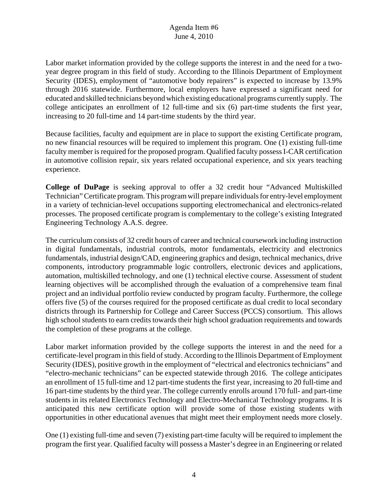Labor market information provided by the college supports the interest in and the need for a twoyear degree program in this field of study. According to the Illinois Department of Employment Security (IDES), employment of "automotive body repairers" is expected to increase by 13.9% through 2016 statewide. Furthermore, local employers have expressed a significant need for educated and skilled technicians beyond which existing educational programs currently supply. The college anticipates an enrollment of 12 full-time and six (6) part-time students the first year, increasing to 20 full-time and 14 part-time students by the third year.

Because facilities, faculty and equipment are in place to support the existing Certificate program, no new financial resources will be required to implement this program. One (1) existing full-time faculty member is required for the proposed program. Qualified faculty possess I-CAR certification in automotive collision repair, six years related occupational experience, and six years teaching experience.

**College of DuPage** is seeking approval to offer a 32 credit hour "Advanced Multiskilled Technician" Certificate program. This program will prepare individuals for entry-level employment in a variety of technician-level occupations supporting electromechanical and electronics-related processes. The proposed certificate program is complementary to the college's existing Integrated Engineering Technology A.A.S. degree.

The curriculum consists of 32 credit hours of career and technical coursework including instruction in digital fundamentals, industrial controls, motor fundamentals, electricity and electronics fundamentals, industrial design/CAD, engineering graphics and design, technical mechanics, drive components, introductory programmable logic controllers, electronic devices and applications, automation, multiskilled technology, and one (1) technical elective course. Assessment of student learning objectives will be accomplished through the evaluation of a comprehensive team final project and an individual portfolio review conducted by program faculty. Furthermore, the college offers five (5) of the courses required for the proposed certificate as dual credit to local secondary districts through its Partnership for College and Career Success (PCCS) consortium. This allows high school students to earn credits towards their high school graduation requirements and towards the completion of these programs at the college.

Labor market information provided by the college supports the interest in and the need for a certificate-level program in this field of study. According to the Illinois Department of Employment Security (IDES), positive growth in the employment of "electrical and electronics technicians" and "electro-mechanic technicians" can be expected statewide through 2016. The college anticipates an enrollment of 15 full-time and 12 part-time students the first year, increasing to 20 full-time and 16 part-time students by the third year. The college currently enrolls around 170 full- and part-time students in its related Electronics Technology and Electro-Mechanical Technology programs. It is anticipated this new certificate option will provide some of those existing students with opportunities in other educational avenues that might meet their employment needs more closely.

One (1) existing full-time and seven (7) existing part-time faculty will be required to implement the program the first year. Qualified faculty will possess a Master's degree in an Engineering or related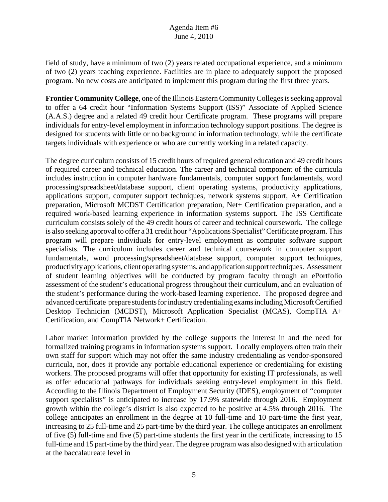field of study, have a minimum of two (2) years related occupational experience, and a minimum of two (2) years teaching experience. Facilities are in place to adequately support the proposed program. No new costs are anticipated to implement this program during the first three years.

**Frontier Community College**, one of the Illinois Eastern Community Colleges is seeking approval to offer a 64 credit hour "Information Systems Support (ISS)" Associate of Applied Science (A.A.S.) degree and a related 49 credit hour Certificate program. These programs will prepare individuals for entry-level employment in information technology support positions. The degree is designed for students with little or no background in information technology, while the certificate targets individuals with experience or who are currently working in a related capacity.

The degree curriculum consists of 15 credit hours of required general education and 49 credit hours of required career and technical education. The career and technical component of the curricula includes instruction in computer hardware fundamentals, computer support fundamentals, word processing/spreadsheet/database support, client operating systems, productivity applications, applications support, computer support techniques, network systems support, A+ Certification preparation, Microsoft MCDST Certification preparation, Net+ Certification preparation, and a required work-based learning experience in information systems support. The ISS Certificate curriculum consists solely of the 49 credit hours of career and technical coursework. The college is also seeking approval to offer a 31 credit hour "Applications Specialist" Certificate program. This program will prepare individuals for entry-level employment as computer software support specialists. The curriculum includes career and technical coursework in computer support fundamentals, word processing/spreadsheet/database support, computer support techniques, productivity applications, client operating systems, and application support techniques. Assessment of student learning objectives will be conducted by program faculty through an ePortfolio assessment of the student's educational progress throughout their curriculum, and an evaluation of the student's performance during the work-based learning experience. The proposed degree and advanced certificate prepare students for industry credentialing exams including Microsoft Certified Desktop Technician (MCDST), Microsoft Application Specialist (MCAS), CompTIA A+ Certification, and CompTIA Network+ Certification.

Labor market information provided by the college supports the interest in and the need for formalized training programs in information systems support. Locally employers often train their own staff for support which may not offer the same industry credentialing as vendor-sponsored curricula, nor, does it provide any portable educational experience or credentialing for existing workers. The proposed programs will offer that opportunity for existing IT professionals, as well as offer educational pathways for individuals seeking entry-level employment in this field. According to the Illinois Department of Employment Security (IDES), employment of "computer support specialists" is anticipated to increase by 17.9% statewide through 2016. Employment growth within the college's district is also expected to be positive at 4.5% through 2016. The college anticipates an enrollment in the degree at 10 full-time and 10 part-time the first year, increasing to 25 full-time and 25 part-time by the third year. The college anticipates an enrollment of five (5) full-time and five (5) part-time students the first year in the certificate, increasing to 15 full-time and 15 part-time by the third year. The degree program was also designed with articulation at the baccalaureate level in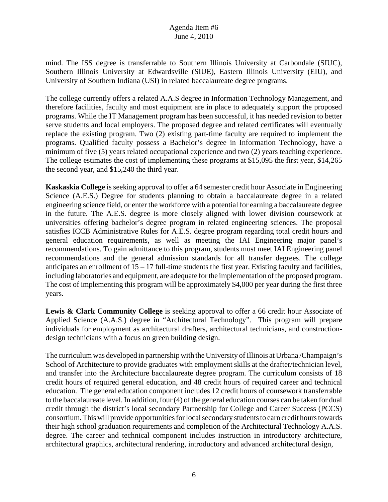mind. The ISS degree is transferrable to Southern Illinois University at Carbondale (SIUC), Southern Illinois University at Edwardsville (SIUE), Eastern Illinois University (EIU), and University of Southern Indiana (USI) in related baccalaureate degree programs.

The college currently offers a related A.A.S degree in Information Technology Management, and therefore facilities, faculty and most equipment are in place to adequately support the proposed programs. While the IT Management program has been successful, it has needed revision to better serve students and local employers. The proposed degree and related certificates will eventually replace the existing program. Two (2) existing part-time faculty are required to implement the programs. Qualified faculty possess a Bachelor's degree in Information Technology, have a minimum of five (5) years related occupational experience and two (2) years teaching experience. The college estimates the cost of implementing these programs at \$15,095 the first year, \$14,265 the second year, and \$15,240 the third year.

**Kaskaskia College** is seeking approval to offer a 64 semester credit hour Associate in Engineering Science (A.E.S.) Degree for students planning to obtain a baccalaureate degree in a related engineering science field, or enter the workforce with a potential for earning a baccalaureate degree in the future. The A.E.S. degree is more closely aligned with lower division coursework at universities offering bachelor's degree program in related engineering sciences. The proposal satisfies ICCB Administrative Rules for A.E.S. degree program regarding total credit hours and general education requirements, as well as meeting the IAI Engineering major panel's recommendations. To gain admittance to this program, students must meet IAI Engineering panel recommendations and the general admission standards for all transfer degrees. The college anticipates an enrollment of  $15 - 17$  full-time students the first year. Existing faculty and facilities, including laboratories and equipment, are adequate for the implementation of the proposed program. The cost of implementing this program will be approximately \$4,000 per year during the first three years.

**Lewis & Clark Community College** is seeking approval to offer a 66 credit hour Associate of Applied Science (A.A.S.) degree in "Architectural Technology". This program will prepare individuals for employment as architectural drafters, architectural technicians, and constructiondesign technicians with a focus on green building design.

The curriculum was developed in partnership with the University of Illinois at Urbana /Champaign's School of Architecture to provide graduates with employment skills at the drafter/technician level, and transfer into the Architecture baccalaureate degree program. The curriculum consists of 18 credit hours of required general education, and 48 credit hours of required career and technical education. The general education component includes 12 credit hours of coursework transferrable to the baccalaureate level. In addition, four (4) of the general education courses can be taken for dual credit through the district's local secondary Partnership for College and Career Success (PCCS) consortium. This will provide opportunities for local secondary students to earn credit hours towards their high school graduation requirements and completion of the Architectural Technology A.A.S. degree. The career and technical component includes instruction in introductory architecture, architectural graphics, architectural rendering, introductory and advanced architectural design,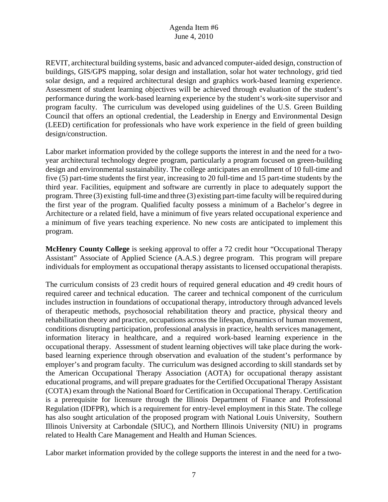REVIT, architectural building systems, basic and advanced computer-aided design, construction of buildings, GIS/GPS mapping, solar design and installation, solar hot water technology, grid tied solar design, and a required architectural design and graphics work-based learning experience. Assessment of student learning objectives will be achieved through evaluation of the student's performance during the work-based learning experience by the student's work-site supervisor and program faculty. The curriculum was developed using guidelines of the U.S. Green Building Council that offers an optional credential, the Leadership in Energy and Environmental Design (LEED) certification for professionals who have work experience in the field of green building design/construction.

Labor market information provided by the college supports the interest in and the need for a twoyear architectural technology degree program, particularly a program focused on green-building design and environmental sustainability. The college anticipates an enrollment of 10 full-time and five (5) part-time students the first year, increasing to 20 full-time and 15 part-time students by the third year. Facilities, equipment and software are currently in place to adequately support the program. Three (3) existing full-time and three (3) existing part-time faculty will be required during the first year of the program. Qualified faculty possess a minimum of a Bachelor's degree in Architecture or a related field, have a minimum of five years related occupational experience and a minimum of five years teaching experience. No new costs are anticipated to implement this program.

**McHenry County College** is seeking approval to offer a 72 credit hour "Occupational Therapy Assistant" Associate of Applied Science (A.A.S.) degree program. This program will prepare individuals for employment as occupational therapy assistants to licensed occupational therapists.

The curriculum consists of 23 credit hours of required general education and 49 credit hours of required career and technical education. The career and technical component of the curriculum includes instruction in foundations of occupational therapy, introductory through advanced levels of therapeutic methods, psychosocial rehabilitation theory and practice, physical theory and rehabilitation theory and practice, occupations across the lifespan, dynamics of human movement, conditions disrupting participation, professional analysis in practice, health services management, information literacy in healthcare, and a required work-based learning experience in the occupational therapy. Assessment of student learning objectives will take place during the workbased learning experience through observation and evaluation of the student's performance by employer's and program faculty. The curriculum was designed according to skill standards set by the American Occupational Therapy Association (AOTA) for occupational therapy assistant educational programs, and will prepare graduates for the Certified Occupational Therapy Assistant (COTA) exam through the National Board for Certification in Occupational Therapy. Certification is a prerequisite for licensure through the Illinois Department of Finance and Professional Regulation (IDFPR), which is a requirement for entry-level employment in this State. The college has also sought articulation of the proposed program with National Louis University, Southern Illinois University at Carbondale (SIUC), and Northern Illinois University (NIU) in programs related to Health Care Management and Health and Human Sciences.

Labor market information provided by the college supports the interest in and the need for a two-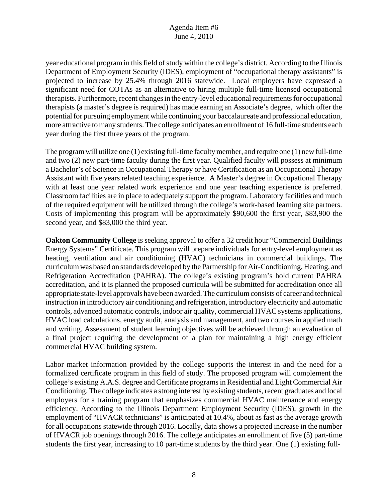year educational program in this field of study within the college's district. According to the Illinois Department of Employment Security (IDES), employment of "occupational therapy assistants" is projected to increase by 25.4% through 2016 statewide. Local employers have expressed a significant need for COTAs as an alternative to hiring multiple full-time licensed occupational therapists. Furthermore, recent changes in the entry-level educational requirements for occupational therapists (a master's degree is required) has made earning an Associate's degree, which offer the potential for pursuing employment while continuing your baccalaureate and professional education, more attractive to many students. The college anticipates an enrollment of 16 full-time students each year during the first three years of the program.

The program will utilize one (1) existing full-time faculty member, and require one (1) new full-time and two (2) new part-time faculty during the first year. Qualified faculty will possess at minimum a Bachelor's of Science in Occupational Therapy or have Certification as an Occupational Therapy Assistant with five years related teaching experience. A Master's degree in Occupational Therapy with at least one year related work experience and one year teaching experience is preferred. Classroom facilities are in place to adequately support the program. Laboratory facilities and much of the required equipment will be utilized through the college's work-based learning site partners. Costs of implementing this program will be approximately \$90,600 the first year, \$83,900 the second year, and \$83,000 the third year.

**Oakton Community College** is seeking approval to offer a 32 credit hour "Commercial Buildings Energy Systems" Certificate. This program will prepare individuals for entry-level employment as heating, ventilation and air conditioning (HVAC) technicians in commercial buildings. The curriculum was based on standards developed by the Partnership for Air-Conditioning, Heating, and Refrigeration Accreditation (PAHRA). The college's existing program's hold current PAHRA accreditation, and it is planned the proposed curricula will be submitted for accreditation once all appropriate state-level approvals have been awarded. The curriculum consists of career and technical instruction in introductory air conditioning and refrigeration, introductory electricity and automatic controls, advanced automatic controls, indoor air quality, commercial HVAC systems applications, HVAC load calculations, energy audit, analysis and management, and two courses in applied math and writing. Assessment of student learning objectives will be achieved through an evaluation of a final project requiring the development of a plan for maintaining a high energy efficient commercial HVAC building system.

Labor market information provided by the college supports the interest in and the need for a formalized certificate program in this field of study. The proposed program will complement the college's existing A.A.S. degree and Certificate programs in Residential and Light Commercial Air Conditioning. The college indicates a strong interest by existing students, recent graduates and local employers for a training program that emphasizes commercial HVAC maintenance and energy efficiency. According to the Illinois Department Employment Security (IDES), growth in the employment of "HVACR technicians" is anticipated at 10.4%, about as fast as the average growth for all occupations statewide through 2016. Locally, data shows a projected increase in the number of HVACR job openings through 2016. The college anticipates an enrollment of five (5) part-time students the first year, increasing to 10 part-time students by the third year. One (1) existing full-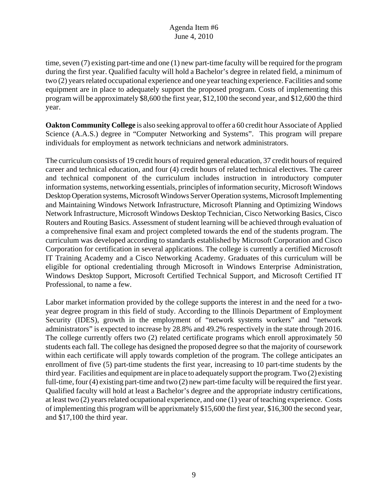time, seven (7) existing part-time and one (1) new part-time faculty will be required for the program during the first year. Qualified faculty will hold a Bachelor's degree in related field, a minimum of two (2) years related occupational experience and one year teaching experience. Facilities and some equipment are in place to adequately support the proposed program. Costs of implementing this program will be approximately \$8,600 the first year, \$12,100 the second year, and \$12,600 the third year.

**Oakton Community College** is also seeking approval to offer a 60 credit hour Associate of Applied Science (A.A.S.) degree in "Computer Networking and Systems". This program will prepare individuals for employment as network technicians and network administrators.

The curriculum consists of 19 credit hours of required general education, 37 credit hours of required career and technical education, and four (4) credit hours of related technical electives. The career and technical component of the curriculum includes instruction in introductory computer information systems, networking essentials, principles of information security, Microsoft Windows Desktop Operation systems, Microsoft Windows Server Operation systems, Microsoft Implementing and Maintaining Windows Network Infrastructure, Microsoft Planning and Optimizing Windows Network Infrastructure, Microsoft Windows Desktop Technician, Cisco Networking Basics, Cisco Routers and Routing Basics. Assessment of student learning will be achieved through evaluation of a comprehensive final exam and project completed towards the end of the students program. The curriculum was developed according to standards established by Microsoft Corporation and Cisco Corporation for certification in several applications. The college is currently a certified Microsoft IT Training Academy and a Cisco Networking Academy. Graduates of this curriculum will be eligible for optional credentialing through Microsoft in Windows Enterprise Administration, Windows Desktop Support, Microsoft Certified Technical Support, and Microsoft Certified IT Professional, to name a few.

Labor market information provided by the college supports the interest in and the need for a twoyear degree program in this field of study. According to the Illinois Department of Employment Security (IDES), growth in the employment of "network systems workers" and "network administrators" is expected to increase by 28.8% and 49.2% respectively in the state through 2016. The college currently offers two (2) related certificate programs which enroll approximately 50 students each fall. The college has designed the proposed degree so that the majority of coursework within each certificate will apply towards completion of the program. The college anticipates an enrollment of five (5) part-time students the first year, increasing to 10 part-time students by the third year. Facilities and equipment are in place to adequately support the program. Two (2) existing full-time, four (4) existing part-time and two (2) new part-time faculty will be required the first year. Qualified faculty will hold at least a Bachelor's degree and the appropriate industry certifications, at least two (2) years related ocupational experience, and one (1) year of teaching experience. Costs of implementing this program will be apprixmately \$15,600 the first year, \$16,300 the second year, and \$17,100 the third year.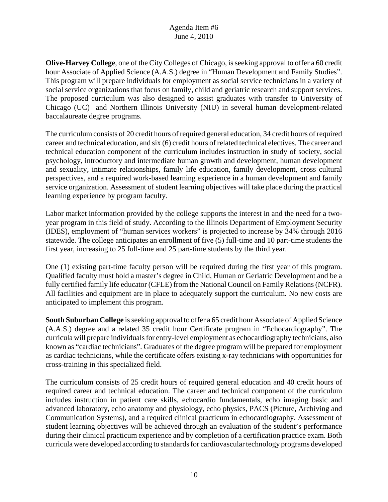**Olive-Harvey College**, one of the City Colleges of Chicago, is seeking approval to offer a 60 credit hour Associate of Applied Science (A.A.S.) degree in "Human Development and Family Studies". This program will prepare individuals for employment as social service technicians in a variety of social service organizations that focus on family, child and geriatric research and support services. The proposed curriculum was also designed to assist graduates with transfer to University of Chicago (UC) and Northern Illinois University (NIU) in several human development-related baccalaureate degree programs.

The curriculum consists of 20 credit hours of required general education, 34 credit hours of required career and technical education, and six (6) credit hours of related technical electives. The career and technical education component of the curriculum includes instruction in study of society, social psychology, introductory and intermediate human growth and development, human development and sexuality, intimate relationships, family life education, family development, cross cultural perspectives, and a required work-based learning experience in a human development and family service organization. Assessment of student learning objectives will take place during the practical learning experience by program faculty.

Labor market information provided by the college supports the interest in and the need for a twoyear program in this field of study. According to the Illinois Department of Employment Security (IDES), employment of "human services workers" is projected to increase by 34% through 2016 statewide. The college anticipates an enrollment of five (5) full-time and 10 part-time students the first year, increasing to 25 full-time and 25 part-time students by the third year.

One (1) existing part-time faculty person will be required during the first year of this program. Qualified faculty must hold a master's degree in Child, Human or Geriatric Development and be a fully certified family life educator (CFLE) from the National Council on Family Relations (NCFR). All facilities and equipment are in place to adequately support the curriculum. No new costs are anticipated to implement this program.

**South Suburban College** is seeking approval to offer a 65 credit hour Associate of Applied Science (A.A.S.) degree and a related 35 credit hour Certificate program in "Echocardiography". The curricula will prepare individuals for entry-level employment as echocardiography technicians, also known as "cardiac technicians". Graduates of the degree program will be prepared for employment as cardiac technicians, while the certificate offers existing x-ray technicians with opportunities for cross-training in this specialized field.

The curriculum consists of 25 credit hours of required general education and 40 credit hours of required career and technical education. The career and technical component of the curriculum includes instruction in patient care skills, echocardio fundamentals, echo imaging basic and advanced laboratory, echo anatomy and physiology, echo physics, PACS (Picture, Archiving and Communication Systems), and a required clinical practicum in echocardiography. Assessment of student learning objectives will be achieved through an evaluation of the student's performance during their clinical practicum experience and by completion of a certification practice exam. Both curricula were developed according to standards for cardiovascular technology programs developed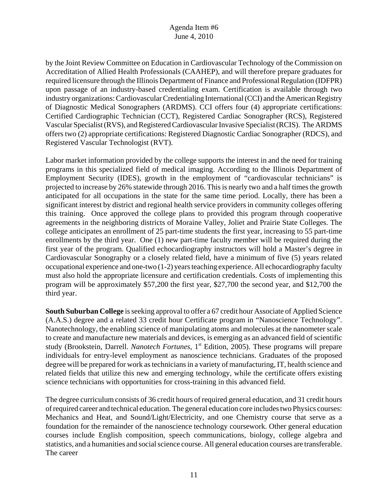by the Joint Review Committee on Education in Cardiovascular Technology of the Commission on Accreditation of Allied Health Professionals (CAAHEP), and will therefore prepare graduates for required licensure through the Illinois Department of Finance and Professional Regulation (IDFPR) upon passage of an industry-based credentialing exam. Certification is available through two industry organizations: Cardiovascular Credentialing International (CCI) and the American Registry of Diagnostic Medical Sonographers (ARDMS). CCI offers four (4) appropriate certifications: Certified Cardiographic Technician (CCT), Registered Cardiac Sonographer (RCS), Registered Vascular Specialist (RVS), and Registered Cardiovascular Invasive Specialist (RCIS). The ARDMS offers two (2) appropriate certifications: Registered Diagnostic Cardiac Sonographer (RDCS), and Registered Vascular Technologist (RVT).

Labor market information provided by the college supports the interest in and the need for training programs in this specialized field of medical imaging. According to the Illinois Department of Employment Security (IDES), growth in the employment of "cardiovascular technicians" is projected to increase by 26% statewide through 2016. This is nearly two and a half times the growth anticipated for all occupations in the state for the same time period. Locally, there has been a significant interest by district and regional health service providers in community colleges offering this training. Once approved the college plans to provided this program through cooperative agreements in the neighboring districts of Moraine Valley, Joliet and Prairie State Colleges. The college anticipates an enrollment of 25 part-time students the first year, increasing to 55 part-time enrollments by the third year. One (1) new part-time faculty member will be required during the first year of the program. Qualified echocardiography instructors will hold a Master's degree in Cardiovascular Sonography or a closely related field, have a minimum of five (5) years related occupational experience and one-two (1-2) years teaching experience. All echocardiography faculty must also hold the appropriate licensure and certification credentials. Costs of implementing this program will be approximately \$57,200 the first year, \$27,700 the second year, and \$12,700 the third year.

**South Suburban College** is seeking approval to offer a 67 credit hour Associate of Applied Science (A.A.S.) degree and a related 33 credit hour Certificate program in "Nanoscience Technology". Nanotechnology, the enabling science of manipulating atoms and molecules at the nanometer scale to create and manufacture new materials and devices, is emerging as an advanced field of scientific study (Brookstein, Darrell. *Nanotech Fortunes*, 1<sup>st</sup> Edition, 2005). These programs will prepare individuals for entry-level employment as nanoscience technicians. Graduates of the proposed degree will be prepared for work as technicians in a variety of manufacturing, IT, health science and related fields that utilize this new and emerging technology, while the certificate offers existing science technicians with opportunities for cross-training in this advanced field.

The degree curriculum consists of 36 credit hours of required general education, and 31 credit hours of required career and technical education. The general education core includes two Physics courses: Mechanics and Heat, and Sound/Light/Electricity, and one Chemistry course that serve as a foundation for the remainder of the nanoscience technology coursework. Other general education courses include English composition, speech communications, biology, college algebra and statistics, and a humanities and social science course. All general education courses are transferable. The career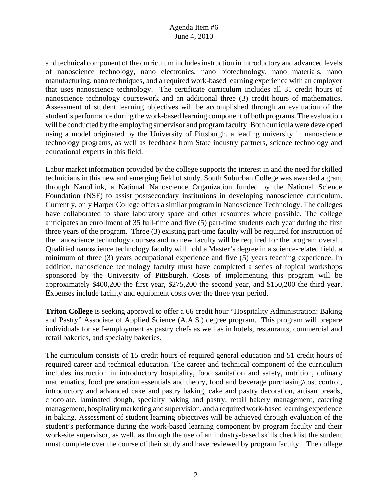and technical component of the curriculum includes instruction in introductory and advanced levels of nanoscience technology, nano electronics, nano biotechnology, nano materials, nano manufacturing, nano techniques, and a required work-based learning experience with an employer that uses nanoscience technology. The certificate curriculum includes all 31 credit hours of nanoscience technology coursework and an additional three (3) credit hours of mathematics. Assessment of student learning objectives will be accomplished through an evaluation of the student's performance during the work-based learning component of both programs. The evaluation will be conducted by the employing supervisor and program faculty. Both curricula were developed using a model originated by the University of Pittsburgh, a leading university in nanoscience technology programs, as well as feedback from State industry partners, science technology and educational experts in this field.

Labor market information provided by the college supports the interest in and the need for skilled technicians in this new and emerging field of study. South Suburban College was awarded a grant through NanoLink, a National Nanoscience Organization funded by the National Science Foundation (NSF) to assist postsecondary institutions in developing nanoscience curriculum. Currently, only Harper College offers a similar program in Nanoscience Technology. The colleges have collaborated to share laboratory space and other resources where possible. The college anticipates an enrollment of 35 full-time and five (5) part-time students each year during the first three years of the program. Three (3) existing part-time faculty will be required for instruction of the nanoscience technology courses and no new faculty will be required for the program overall. Qualified nanoscience technology faculty will hold a Master's degree in a science-related field, a minimum of three (3) years occupational experience and five (5) years teaching experience. In addition, nanoscience technology faculty must have completed a series of topical workshops sponsored by the University of Pittsburgh. Costs of implementing this program will be approximately \$400,200 the first year, \$275,200 the second year, and \$150,200 the third year. Expenses include facility and equipment costs over the three year period.

**Triton College** is seeking approval to offer a 66 credit hour "Hospitality Administration: Baking and Pastry" Associate of Applied Science (A.A.S.) degree program. This program will prepare individuals for self-employment as pastry chefs as well as in hotels, restaurants, commercial and retail bakeries, and specialty bakeries.

The curriculum consists of 15 credit hours of required general education and 51 credit hours of required career and technical education. The career and technical component of the curriculum includes instruction in introductory hospitality, food sanitation and safety, nutrition, culinary mathematics, food preparation essentials and theory, food and beverage purchasing/cost control, introductory and advanced cake and pastry baking, cake and pastry decoration, artisan breads, chocolate, laminated dough, specialty baking and pastry, retail bakery management, catering management, hospitality marketing and supervision, and a required work-based learning experience in baking. Assessment of student learning objectives will be achieved through evaluation of the student's performance during the work-based learning component by program faculty and their work-site supervisor, as well, as through the use of an industry-based skills checklist the student must complete over the course of their study and have reviewed by program faculty. The college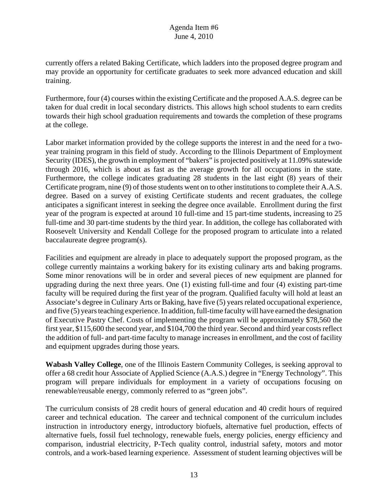currently offers a related Baking Certificate, which ladders into the proposed degree program and may provide an opportunity for certificate graduates to seek more advanced education and skill training.

Furthermore, four (4) courses within the existing Certificate and the proposed A.A.S. degree can be taken for dual credit in local secondary districts. This allows high school students to earn credits towards their high school graduation requirements and towards the completion of these programs at the college.

Labor market information provided by the college supports the interest in and the need for a twoyear training program in this field of study. According to the Illinois Department of Employment Security (IDES), the growth in employment of "bakers" is projected positively at 11.09% statewide through 2016, which is about as fast as the average growth for all occupations in the state. Furthermore, the college indicates graduating 28 students in the last eight (8) years of their Certificate program, nine (9) of those students went on to other institutions to complete their A.A.S. degree. Based on a survey of existing Certificate students and recent graduates, the college anticipates a significant interest in seeking the degree once available. Enrollment during the first year of the program is expected at around 10 full-time and 15 part-time students, increasing to 25 full-time and 30 part-time students by the third year. In addition, the college has collaborated with Roosevelt University and Kendall College for the proposed program to articulate into a related baccalaureate degree program(s).

Facilities and equipment are already in place to adequately support the proposed program, as the college currently maintains a working bakery for its existing culinary arts and baking programs. Some minor renovations will be in order and several pieces of new equipment are planned for upgrading during the next three years. One (1) existing full-time and four (4) existing part-time faculty will be required during the first year of the program. Qualified faculty will hold at least an Associate's degree in Culinary Arts or Baking, have five (5) years related occupational experience, and five (5) years teaching experience. In addition, full-time faculty will have earned the designation of Executive Pastry Chef. Costs of implementing the program will be approximately \$78,560 the first year, \$115,600 the second year, and \$104,700 the third year. Second and third year costs reflect the addition of full- and part-time faculty to manage increases in enrollment, and the cost of facility and equipment upgrades during those years.

**Wabash Valley College**, one of the Illinois Eastern Community Colleges, is seeking approval to offer a 68 credit hour Associate of Applied Science (A.A.S.) degree in "Energy Technology". This program will prepare individuals for employment in a variety of occupations focusing on renewable/reusable energy, commonly referred to as "green jobs".

The curriculum consists of 28 credit hours of general education and 40 credit hours of required career and technical education. The career and technical component of the curriculum includes instruction in introductory energy, introductory biofuels, alternative fuel production, effects of alternative fuels, fossil fuel technology, renewable fuels, energy policies, energy efficiency and comparison, industrial electricity, P-Tech quality control, industrial safety, motors and motor controls, and a work-based learning experience. Assessment of student learning objectives will be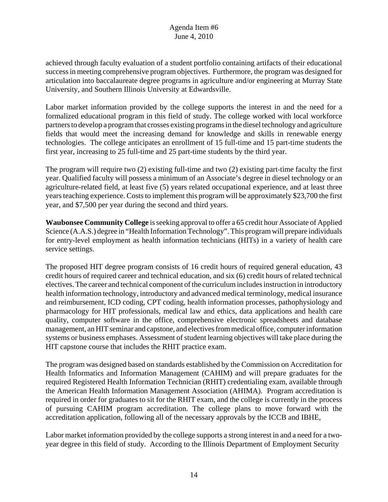achieved through faculty evaluation of a student portfolio containing artifacts of their educational success in meeting comprehensive program objectives. Furthermore, the program was designed for articulation into baccalaureate degree programs in agriculture and/or engineering at Murray State University, and Southern Illinois University at Edwardsville.

Labor market information provided by the college supports the interest in and the need for a formalized educational program in this field of study. The college worked with local workforce partners to develop a program that crosses existing programs in the diesel technology and agriculture fields that would meet the increasing demand for knowledge and skills in renewable energy technologies. The college anticipates an enrollment of 15 full-time and 15 part-time students the first year, increasing to 25 full-time and 25 part-time students by the third year.

The program will require two (2) existing full-time and two (2) existing part-time faculty the first year. Qualified faculty will possess a minimum of an Associate's degree in diesel technology or an agriculture-related field, at least five (5) years related occupational experience, and at least three years teaching experience. Costs to implement this program will be approximately \$23,700 the first year, and \$7,500 per year during the second and third years.

**Waubonsee Community College** is seeking approval to offer a 65 credit hour Associate of Applied Science (A.A.S.) degree in "Health Information Technology". This program will prepare individuals for entry-level employment as health information technicians (HITs) in a variety of health care service settings.

The proposed HIT degree program consists of 16 credit hours of required general education, 43 credit hours of required career and technical education, and six (6) credit hours of related technical electives. The career and technical component of the curriculum includes instruction in introductory health information technology, introductory and advanced medical terminology, medical insurance and reimbursement, ICD coding, CPT coding, health information processes, pathophysiology and pharmacology for HIT professionals, medical law and ethics, data applications and health care quality, computer software in the office, comprehensive electronic spreadsheets and database management, an HIT seminar and capstone, and electives from medical office, computer information systems or business emphases. Assessment of student learning objectives will take place during the HIT capstone course that includes the RHIT practice exam.

The program was designed based on standards established by the Commission on Accreditation for Health Informatics and Information Management (CAHIM) and will prepare graduates for the required Registered Health Information Technician (RHIT) credentialing exam, available through the American Health Information Management Association (AHIMA). Program accreditation is required in order for graduates to sit for the RHIT exam, and the college is currently in the process of pursuing CAHIM program accreditation. The college plans to move forward with the accreditation application, following all of the necessary approvals by the ICCB and IBHE,

Labor market information provided by the college supports a strong interest in and a need for a twoyear degree in this field of study. According to the Illinois Department of Employment Security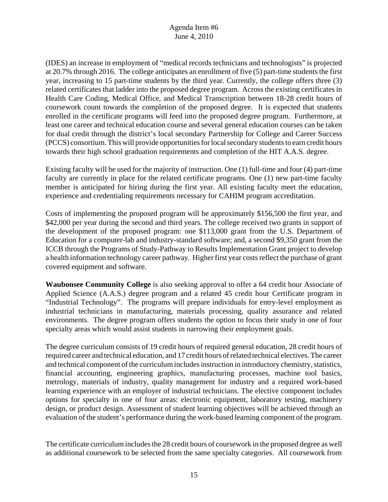(IDES) an increase in employment of "medical records technicians and technologists" is projected at 20.7% through 2016. The college anticipates an enrollment of five (5) part-time students the first year, increasing to 15 part-time students by the third year. Currently, the college offers three (3) related certificates that ladder into the proposed degree program. Across the existing certificates in Health Care Coding, Medical Office, and Medical Transcription between 18-28 credit hours of coursework count towards the completion of the proposed degree. It is expected that students enrolled in the certificate programs will feed into the proposed degree program. Furthermore, at least one career and technical education course and several general education courses can be taken for dual credit through the district's local secondary Partnership for College and Career Success (PCCS) consortium. This will provide opportunities for local secondary students to earn credit hours towards their high school graduation requirements and completion of the HIT A.A.S. degree.

Existing faculty will be used for the majority of instruction. One (1) full-time and four (4) part-time faculty are currently in place for the related certificate programs. One (1) new part-time faculty member is anticipated for hiring during the first year. All existing faculty meet the education, experience and credentialing requirements necessary for CAHIM program accreditation.

Costs of implementing the proposed program will be approximately \$156,500 the first year, and \$42,000 per year during the second and third years. The college received two grants in support of the development of the proposed program: one \$113,000 grant from the U.S. Department of Education for a computer-lab and industry-standard software; and, a second \$9,350 grant from the ICCB through the Programs of Study-Pathway to Results Implementation Grant project to develop a health information technology career pathway. Higher first year costs reflect the purchase of grant covered equipment and software.

**Waubonsee Community College** is also seeking approval to offer a 64 credit hour Associate of Applied Science (A.A.S.) degree program and a related 45 credit hour Certificate program in "Industrial Technology". The programs will prepare individuals for entry-level employment as industrial technicians in manufacturing, materials processing, quality assurance and related environments. The degree program offers students the option to focus their study in one of four specialty areas which would assist students in narrowing their employment goals.

The degree curriculum consists of 19 credit hours of required general education, 28 credit hours of required career and technical education, and 17 credit hours of related technical electives. The career and technical component of the curriculum includes instruction in introductory chemistry, statistics, financial accounting, engineering graphics, manufacturing processes, machine tool basics, metrology, materials of industry, quality management for industry and a required work-based learning experience with an employer of industrial technicians. The elective component includes options for specialty in one of four areas: electronic equipment, laboratory testing, machinery design, or product design. Assessment of student learning objectives will be achieved through an evaluation of the student's performance during the work-based learning component of the program.

The certificate curriculum includes the 28 credit hours of coursework in the proposed degree as well as additional coursework to be selected from the same specialty categories. All coursework from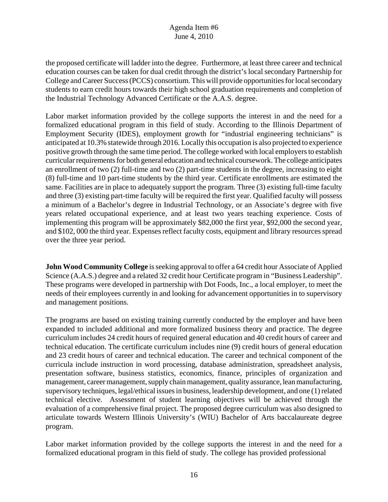the proposed certificate will ladder into the degree. Furthermore, at least three career and technical education courses can be taken for dual credit through the district's local secondary Partnership for College and Career Success (PCCS) consortium. This will provide opportunities for local secondary students to earn credit hours towards their high school graduation requirements and completion of the Industrial Technology Advanced Certificate or the A.A.S. degree.

Labor market information provided by the college supports the interest in and the need for a formalized educational program in this field of study. According to the Illinois Department of Employment Security (IDES), employment growth for "industrial engineering technicians" is anticipated at 10.3% statewide through 2016. Locally this occupation is also projected to experience positive growth through the same time period. The college worked with local employers to establish curricular requirements for both general education and technical coursework. The college anticipates an enrollment of two (2) full-time and two (2) part-time students in the degree, increasing to eight (8) full-time and 10 part-time students by the third year. Certificate enrollments are estimated the same. Facilities are in place to adequately support the program. Three (3) existing full-time faculty and three (3) existing part-time faculty will be required the first year. Qualified faculty will possess a minimum of a Bachelor's degree in Industrial Technology, or an Associate's degree with five years related occupational experience, and at least two years teaching experience. Costs of implementing this program will be approximately \$82,000 the first year, \$92,000 the second year, and \$102, 000 the third year. Expenses reflect faculty costs, equipment and library resources spread over the three year period.

**John Wood Community College** is seeking approval to offer a 64 credit hour Associate of Applied Science (A.A.S.) degree and a related 32 credit hour Certificate program in "Business Leadership". These programs were developed in partnership with Dot Foods, Inc., a local employer, to meet the needs of their employees currently in and looking for advancement opportunities in to supervisory and management positions.

The programs are based on existing training currently conducted by the employer and have been expanded to included additional and more formalized business theory and practice. The degree curriculum includes 24 credit hours of required general education and 40 credit hours of career and technical education. The certificate curriculum includes nine (9) credit hours of general education and 23 credit hours of career and technical education. The career and technical component of the curricula include instruction in word processing, database administration, spreadsheet analysis, presentation software, business statistics, economics, finance, principles of organization and management, career management, supply chain management, quality assurance, lean manufacturing, supervisory techniques, legal/ethical issues in business, leadership development, and one (1) related technical elective. Assessment of student learning objectives will be achieved through the evaluation of a comprehensive final project. The proposed degree curriculum was also designed to articulate towards Western Illinois University's (WIU) Bachelor of Arts baccalaureate degree program.

Labor market information provided by the college supports the interest in and the need for a formalized educational program in this field of study. The college has provided professional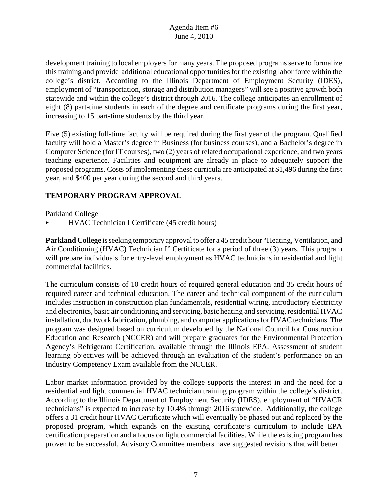development training to local employers for many years. The proposed programs serve to formalize this training and provide additional educational opportunities for the existing labor force within the college's district. According to the Illinois Department of Employment Security (IDES), employment of "transportation, storage and distribution managers" will see a positive growth both statewide and within the college's district through 2016. The college anticipates an enrollment of eight (8) part-time students in each of the degree and certificate programs during the first year, increasing to 15 part-time students by the third year.

Five (5) existing full-time faculty will be required during the first year of the program. Qualified faculty will hold a Master's degree in Business (for business courses), and a Bachelor's degree in Computer Science (for IT courses), two (2) years of related occupational experience, and two years teaching experience. Facilities and equipment are already in place to adequately support the proposed programs. Costs of implementing these curricula are anticipated at \$1,496 during the first year, and \$400 per year during the second and third years.

## **TEMPORARY PROGRAM APPROVAL**

Parkland College

< HVAC Technician I Certificate (45 credit hours)

**Parkland College** is seeking temporary approval to offer a 45 credit hour "Heating, Ventilation, and Air Conditioning (HVAC) Technician I" Certificate for a period of three (3) years. This program will prepare individuals for entry-level employment as HVAC technicians in residential and light commercial facilities.

The curriculum consists of 10 credit hours of required general education and 35 credit hours of required career and technical education. The career and technical component of the curriculum includes instruction in construction plan fundamentals, residential wiring, introductory electricity and electronics, basic air conditioning and servicing, basic heating and servicing, residential HVAC installation, ductwork fabrication, plumbing, and computer applications for HVAC technicians. The program was designed based on curriculum developed by the National Council for Construction Education and Research (NCCER) and will prepare graduates for the Environmental Protection Agency's Refrigerant Certification, available through the Illinois EPA. Assessment of student learning objectives will be achieved through an evaluation of the student's performance on an Industry Competency Exam available from the NCCER.

Labor market information provided by the college supports the interest in and the need for a residential and light commercial HVAC technician training program within the college's district. According to the Illinois Department of Employment Security (IDES), employment of "HVACR technicians" is expected to increase by 10.4% through 2016 statewide. Additionally, the college offers a 31 credit hour HVAC Certificate which will eventually be phased out and replaced by the proposed program, which expands on the existing certificate's curriculum to include EPA certification preparation and a focus on light commercial facilities. While the existing program has proven to be successful, Advisory Committee members have suggested revisions that will better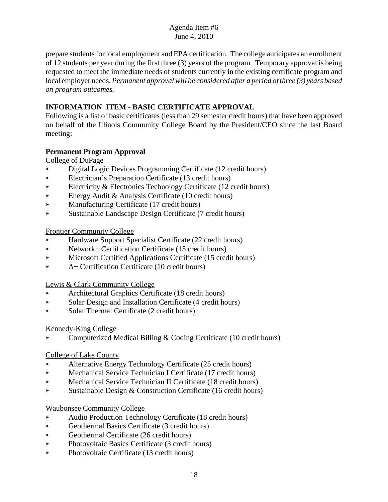prepare students for local employment and EPA certification. The college anticipates an enrollment of 12 students per year during the first three (3) years of the program. Temporary approval is being requested to meet the immediate needs of students currently in the existing certificate program and local employer needs. *Permanent approval will be considered after a period of three (3) years based on program outcomes.*

## **INFORMATION ITEM - BASIC CERTIFICATE APPROVAL**

Following is a list of basic certificates (less than 29 semester credit hours) that have been approved on behalf of the Illinois Community College Board by the President/CEO since the last Board meeting:

## **Permanent Program Approval**

College of DuPage

- < Digital Logic Devices Programming Certificate (12 credit hours)
- < Electrician's Preparation Certificate (13 credit hours)
- Electricity & Electronics Technology Certificate  $(12 \text{ credit hours})$
- $\blacktriangleright$  Energy Audit & Analysis Certificate (10 credit hours)
- Manufacturing Certificate (17 credit hours)
- < Sustainable Landscape Design Certificate (7 credit hours)

Frontier Community College

- < Hardware Support Specialist Certificate (22 credit hours)
- $\blacktriangleright$  Network+ Certification Certificate (15 credit hours)
- **Microsoft Certified Applications Certificate (15 credit hours)**
- < A+ Certification Certificate (10 credit hours)

Lewis & Clark Community College

- < Architectural Graphics Certificate (18 credit hours)
- < Solar Design and Installation Certificate (4 credit hours)
- Solar Thermal Certificate (2 credit hours)

## Kennedy-King College

< Computerized Medical Billing & Coding Certificate (10 credit hours)

## College of Lake County

- < Alternative Energy Technology Certificate (25 credit hours)
- < Mechanical Service Technician I Certificate (17 credit hours)
- < Mechanical Service Technician II Certificate (18 credit hours)
- $\triangleright$  Sustainable Design & Construction Certificate (16 credit hours)

## Waubonsee Community College

- < Audio Production Technology Certificate (18 credit hours)
- $\triangleright$  Geothermal Basics Certificate (3 credit hours)
- $\blacktriangleright$  Geothermal Certificate (26 credit hours)
- Photovoltaic Basics Certificate (3 credit hours)
- Photovoltaic Certificate (13 credit hours)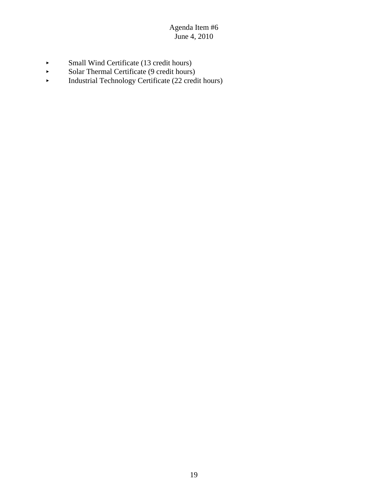- Small Wind Certificate (13 credit hours)<br>Solar Thermal Certificate (9 credit hours)
- Solar Thermal Certificate (9 credit hours)<br>Industrial Technology Certificate (22 cred
- < Industrial Technology Certificate (22 credit hours)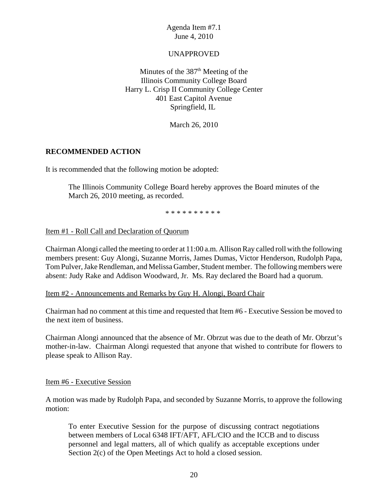## UNAPPROVED

Minutes of the  $387<sup>th</sup>$  Meeting of the Illinois Community College Board Harry L. Crisp II Community College Center 401 East Capitol Avenue Springfield, IL

March 26, 2010

## **RECOMMENDED ACTION**

It is recommended that the following motion be adopted:

The Illinois Community College Board hereby approves the Board minutes of the March 26, 2010 meeting, as recorded.

\* \* \* \* \* \* \* \* \* \*

#### Item #1 - Roll Call and Declaration of Quorum

Chairman Alongi called the meeting to order at 11:00 a.m. Allison Ray called roll with the following members present: Guy Alongi, Suzanne Morris, James Dumas, Victor Henderson, Rudolph Papa, Tom Pulver, Jake Rendleman, and Melissa Gamber, Student member. The following members were absent: Judy Rake and Addison Woodward, Jr. Ms. Ray declared the Board had a quorum.

#### Item #2 - Announcements and Remarks by Guy H. Alongi, Board Chair

Chairman had no comment at this time and requested that Item #6 - Executive Session be moved to the next item of business.

Chairman Alongi announced that the absence of Mr. Obrzut was due to the death of Mr. Obrzut's mother-in-law. Chairman Alongi requested that anyone that wished to contribute for flowers to please speak to Allison Ray.

#### Item #6 - Executive Session

A motion was made by Rudolph Papa, and seconded by Suzanne Morris, to approve the following motion:

To enter Executive Session for the purpose of discussing contract negotiations between members of Local 6348 IFT/AFT, AFL/CIO and the ICCB and to discuss personnel and legal matters, all of which qualify as acceptable exceptions under Section 2(c) of the Open Meetings Act to hold a closed session.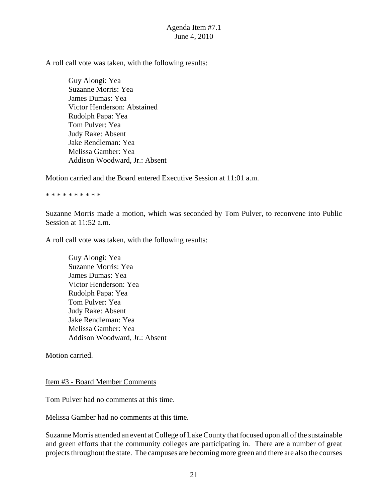A roll call vote was taken, with the following results:

Guy Alongi: Yea Suzanne Morris: Yea James Dumas: Yea Victor Henderson: Abstained Rudolph Papa: Yea Tom Pulver: Yea Judy Rake: Absent Jake Rendleman: Yea Melissa Gamber: Yea Addison Woodward, Jr.: Absent

Motion carried and the Board entered Executive Session at 11:01 a.m.

\* \* \* \* \* \* \* \* \* \*

Suzanne Morris made a motion, which was seconded by Tom Pulver, to reconvene into Public Session at 11:52 a.m.

A roll call vote was taken, with the following results:

Guy Alongi: Yea Suzanne Morris: Yea James Dumas: Yea Victor Henderson: Yea Rudolph Papa: Yea Tom Pulver: Yea Judy Rake: Absent Jake Rendleman: Yea Melissa Gamber: Yea Addison Woodward, Jr.: Absent

Motion carried.

#### Item #3 - Board Member Comments

Tom Pulver had no comments at this time.

Melissa Gamber had no comments at this time.

Suzanne Morris attended an event at College of Lake County that focused upon all of the sustainable and green efforts that the community colleges are participating in. There are a number of great projects throughout the state. The campuses are becoming more green and there are also the courses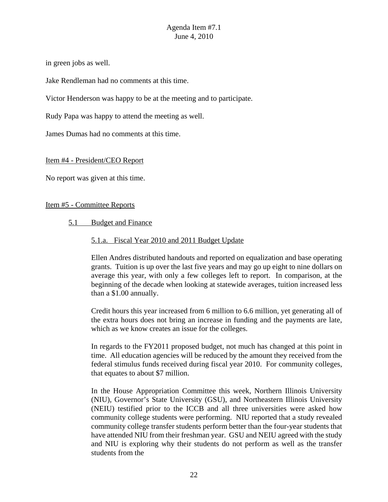in green jobs as well.

Jake Rendleman had no comments at this time.

Victor Henderson was happy to be at the meeting and to participate.

Rudy Papa was happy to attend the meeting as well.

James Dumas had no comments at this time.

#### Item #4 - President/CEO Report

No report was given at this time.

#### Item #5 - Committee Reports

#### 5.1 Budget and Finance

#### 5.1.a. Fiscal Year 2010 and 2011 Budget Update

Ellen Andres distributed handouts and reported on equalization and base operating grants. Tuition is up over the last five years and may go up eight to nine dollars on average this year, with only a few colleges left to report. In comparison, at the beginning of the decade when looking at statewide averages, tuition increased less than a \$1.00 annually.

Credit hours this year increased from 6 million to 6.6 million, yet generating all of the extra hours does not bring an increase in funding and the payments are late, which as we know creates an issue for the colleges.

In regards to the FY2011 proposed budget, not much has changed at this point in time. All education agencies will be reduced by the amount they received from the federal stimulus funds received during fiscal year 2010. For community colleges, that equates to about \$7 million.

In the House Appropriation Committee this week, Northern Illinois University (NIU), Governor's State University (GSU), and Northeastern Illinois University (NEIU) testified prior to the ICCB and all three universities were asked how community college students were performing. NIU reported that a study revealed community college transfer students perform better than the four-year students that have attended NIU from their freshman year. GSU and NEIU agreed with the study and NIU is exploring why their students do not perform as well as the transfer students from the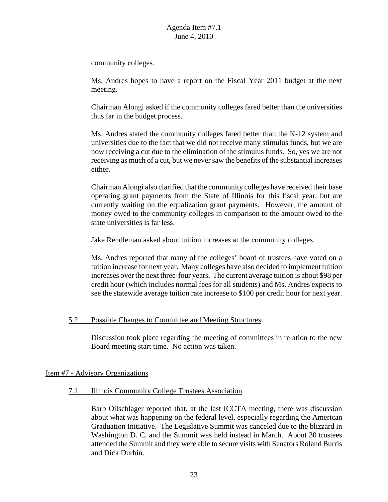community colleges.

Ms. Andres hopes to have a report on the Fiscal Year 2011 budget at the next meeting.

Chairman Alongi asked if the community colleges fared better than the universities thus far in the budget process.

Ms. Andres stated the community colleges fared better than the K-12 system and universities due to the fact that we did not receive many stimulus funds, but we are now receiving a cut due to the elimination of the stimulus funds. So, yes we are not receiving as much of a cut, but we never saw the benefits of the substantial increases either.

Chairman Alongi also clarified that the community colleges have received their base operating grant payments from the State of Illinois for this fiscal year, but are currently waiting on the equalization grant payments. However, the amount of money owed to the community colleges in comparison to the amount owed to the state universities is far less.

Jake Rendleman asked about tuition increases at the community colleges.

Ms. Andres reported that many of the colleges' board of trustees have voted on a tuition increase for next year. Many colleges have also decided to implement tuition increases over the next three-four years. The current average tuition is about \$98 per credit hour (which includes normal fees for all students) and Ms. Andres expects to see the statewide average tuition rate increase to \$100 per credit hour for next year.

#### 5.2 Possible Changes to Committee and Meeting Structures

Discussion took place regarding the meeting of committees in relation to the new Board meeting start time. No action was taken.

#### Item #7 - Advisory Organizations

#### 7.1 Illinois Community College Trustees Association

Barb Oilschlager reported that, at the last ICCTA meeting, there was discussion about what was happening on the federal level, especially regarding the American Graduation Initiative. The Legislative Summit was canceled due to the blizzard in Washington D. C. and the Summit was held instead in March. About 30 trustees attended the Summit and they were able to secure visits with Senators Roland Burris and Dick Durbin.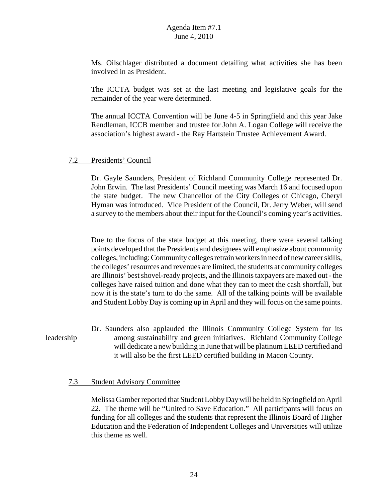Ms. Oilschlager distributed a document detailing what activities she has been involved in as President.

The ICCTA budget was set at the last meeting and legislative goals for the remainder of the year were determined.

The annual ICCTA Convention will be June 4-5 in Springfield and this year Jake Rendleman, ICCB member and trustee for John A. Logan College will receive the association's highest award - the Ray Hartstein Trustee Achievement Award.

#### 7.2 Presidents' Council

Dr. Gayle Saunders, President of Richland Community College represented Dr. John Erwin. The last Presidents' Council meeting was March 16 and focused upon the state budget. The new Chancellor of the City Colleges of Chicago, Cheryl Hyman was introduced. Vice President of the Council, Dr. Jerry Weber, will send a survey to the members about their input for the Council's coming year's activities.

Due to the focus of the state budget at this meeting, there were several talking points developed that the Presidents and designees will emphasize about community colleges, including: Community colleges retrain workers in need of new career skills, the colleges' resources and revenues are limited, the students at community colleges are Illinois' best shovel-ready projects, and the Illinois taxpayers are maxed out - the colleges have raised tuition and done what they can to meet the cash shortfall, but now it is the state's turn to do the same. All of the talking points will be available and Student Lobby Day is coming up in April and they will focus on the same points.

## Dr. Saunders also applauded the Illinois Community College System for its leadership among sustainability and green initiatives. Richland Community College will dedicate a new building in June that will be platinum LEED certified and it will also be the first LEED certified building in Macon County.

#### 7.3 Student Advisory Committee

Melissa Gamber reported that Student Lobby Day will be held in Springfield on April 22. The theme will be "United to Save Education." All participants will focus on funding for all colleges and the students that represent the Illinois Board of Higher Education and the Federation of Independent Colleges and Universities will utilize this theme as well.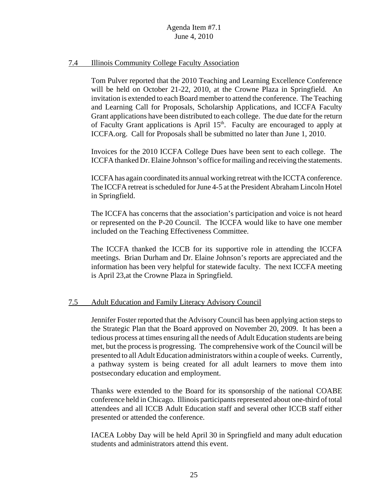#### 7.4 Illinois Community College Faculty Association

Tom Pulver reported that the 2010 Teaching and Learning Excellence Conference will be held on October 21-22, 2010, at the Crowne Plaza in Springfield. An invitation is extended to each Board member to attend the conference. The Teaching and Learning Call for Proposals, Scholarship Applications, and ICCFA Faculty Grant applications have been distributed to each college. The due date for the return of Faculty Grant applications is April 15<sup>th</sup>. Faculty are encouraged to apply at ICCFA.org. Call for Proposals shall be submitted no later than June 1, 2010.

Invoices for the 2010 ICCFA College Dues have been sent to each college. The ICCFA thanked Dr. Elaine Johnson's office for mailing and receiving the statements.

ICCFA has again coordinated its annual working retreat with the ICCTA conference. The ICCFA retreat is scheduled for June 4-5 at the President Abraham Lincoln Hotel in Springfield.

The ICCFA has concerns that the association's participation and voice is not heard or represented on the P-20 Council. The ICCFA would like to have one member included on the Teaching Effectiveness Committee.

The ICCFA thanked the ICCB for its supportive role in attending the ICCFA meetings. Brian Durham and Dr. Elaine Johnson's reports are appreciated and the information has been very helpful for statewide faculty. The next ICCFA meeting is April 23,at the Crowne Plaza in Springfield.

## 7.5 Adult Education and Family Literacy Advisory Council

Jennifer Foster reported that the Advisory Council has been applying action steps to the Strategic Plan that the Board approved on November 20, 2009. It has been a tedious process at times ensuring all the needs of Adult Education students are being met, but the process is progressing. The comprehensive work of the Council will be presented to all Adult Education administrators within a couple of weeks. Currently, a pathway system is being created for all adult learners to move them into postsecondary education and employment.

Thanks were extended to the Board for its sponsorship of the national COABE conference held in Chicago. Illinois participants represented about one-third of total attendees and all ICCB Adult Education staff and several other ICCB staff either presented or attended the conference.

IACEA Lobby Day will be held April 30 in Springfield and many adult education students and administrators attend this event.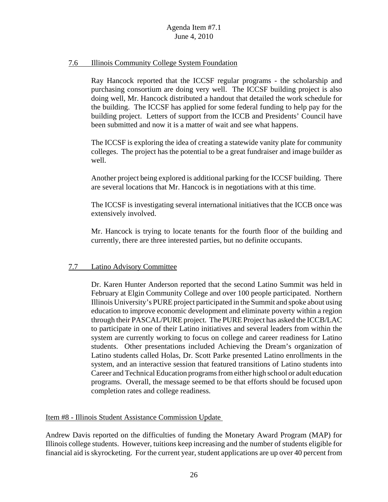#### 7.6 Illinois Community College System Foundation

Ray Hancock reported that the ICCSF regular programs - the scholarship and purchasing consortium are doing very well. The ICCSF building project is also doing well, Mr. Hancock distributed a handout that detailed the work schedule for the building. The ICCSF has applied for some federal funding to help pay for the building project. Letters of support from the ICCB and Presidents' Council have been submitted and now it is a matter of wait and see what happens.

The ICCSF is exploring the idea of creating a statewide vanity plate for community colleges. The project has the potential to be a great fundraiser and image builder as well.

Another project being explored is additional parking for the ICCSF building. There are several locations that Mr. Hancock is in negotiations with at this time.

The ICCSF is investigating several international initiatives that the ICCB once was extensively involved.

Mr. Hancock is trying to locate tenants for the fourth floor of the building and currently, there are three interested parties, but no definite occupants.

#### 7.7 Latino Advisory Committee

Dr. Karen Hunter Anderson reported that the second Latino Summit was held in February at Elgin Community College and over 100 people participated. Northern Illinois University's PURE project participated in the Summit and spoke about using education to improve economic development and eliminate poverty within a region through their PASCAL/PURE project. The PURE Project has asked the ICCB/LAC to participate in one of their Latino initiatives and several leaders from within the system are currently working to focus on college and career readiness for Latino students. Other presentations included Achieving the Dream's organization of Latino students called Holas, Dr. Scott Parke presented Latino enrollments in the system, and an interactive session that featured transitions of Latino students into Career and Technical Education programs from either high school or adult education programs. Overall, the message seemed to be that efforts should be focused upon completion rates and college readiness.

#### Item #8 - Illinois Student Assistance Commission Update

Andrew Davis reported on the difficulties of funding the Monetary Award Program (MAP) for Illinois college students. However, tuitions keep increasing and the number of students eligible for financial aid is skyrocketing. For the current year, student applications are up over 40 percent from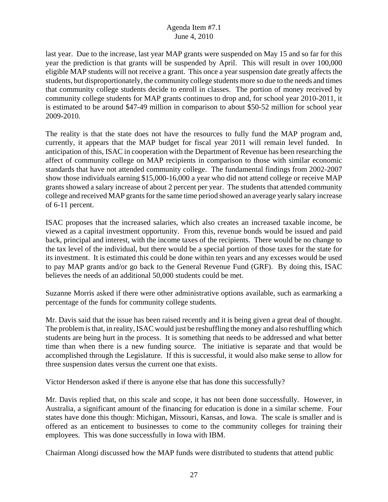last year. Due to the increase, last year MAP grants were suspended on May 15 and so far for this year the prediction is that grants will be suspended by April. This will result in over 100,000 eligible MAP students will not receive a grant. This once a year suspension date greatly affects the students, but disproportionately, the community college students more so due to the needs and times that community college students decide to enroll in classes. The portion of money received by community college students for MAP grants continues to drop and, for school year 2010-2011, it is estimated to be around \$47-49 million in comparison to about \$50-52 million for school year 2009-2010.

The reality is that the state does not have the resources to fully fund the MAP program and, currently, it appears that the MAP budget for fiscal year 2011 will remain level funded. In anticipation of this, ISAC in cooperation with the Department of Revenue has been researching the affect of community college on MAP recipients in comparison to those with similar economic standards that have not attended community college. The fundamental findings from 2002-2007 show those individuals earning \$15,000-16,000 a year who did not attend college or receive MAP grants showed a salary increase of about 2 percent per year. The students that attended community college and received MAP grants for the same time period showed an average yearly salary increase of 6-11 percent.

ISAC proposes that the increased salaries, which also creates an increased taxable income, be viewed as a capital investment opportunity. From this, revenue bonds would be issued and paid back, principal and interest, with the income taxes of the recipients. There would be no change to the tax level of the individual, but there would be a special portion of those taxes for the state for its investment. It is estimated this could be done within ten years and any excesses would be used to pay MAP grants and/or go back to the General Revenue Fund (GRF). By doing this, ISAC believes the needs of an additional 50,000 students could be met.

Suzanne Morris asked if there were other administrative options available, such as earmarking a percentage of the funds for community college students.

Mr. Davis said that the issue has been raised recently and it is being given a great deal of thought. The problem is that, in reality, ISAC would just be reshuffling the money and also reshuffling which students are being hurt in the process. It is something that needs to be addressed and what better time than when there is a new funding source. The initiative is separate and that would be accomplished through the Legislature. If this is successful, it would also make sense to allow for three suspension dates versus the current one that exists.

Victor Henderson asked if there is anyone else that has done this successfully?

Mr. Davis replied that, on this scale and scope, it has not been done successfully. However, in Australia, a significant amount of the financing for education is done in a similar scheme. Four states have done this though: Michigan, Missouri, Kansas, and Iowa. The scale is smaller and is offered as an enticement to businesses to come to the community colleges for training their employees. This was done successfully in Iowa with IBM.

Chairman Alongi discussed how the MAP funds were distributed to students that attend public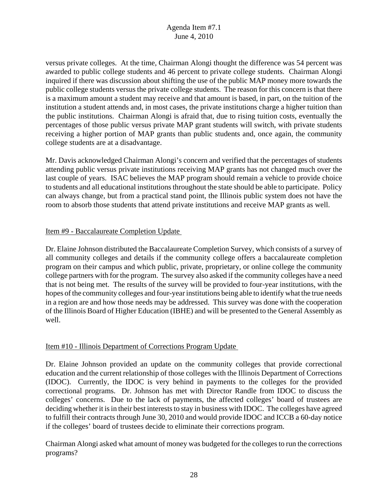versus private colleges. At the time, Chairman Alongi thought the difference was 54 percent was awarded to public college students and 46 percent to private college students. Chairman Alongi inquired if there was discussion about shifting the use of the public MAP money more towards the public college students versus the private college students. The reason for this concern is that there is a maximum amount a student may receive and that amount is based, in part, on the tuition of the institution a student attends and, in most cases, the private institutions charge a higher tuition than the public institutions. Chairman Alongi is afraid that, due to rising tuition costs, eventually the percentages of those public versus private MAP grant students will switch, with private students receiving a higher portion of MAP grants than public students and, once again, the community college students are at a disadvantage.

Mr. Davis acknowledged Chairman Alongi's concern and verified that the percentages of students attending public versus private institutions receiving MAP grants has not changed much over the last couple of years. ISAC believes the MAP program should remain a vehicle to provide choice to students and all educational institutions throughout the state should be able to participate. Policy can always change, but from a practical stand point, the Illinois public system does not have the room to absorb those students that attend private institutions and receive MAP grants as well.

#### Item #9 - Baccalaureate Completion Update

Dr. Elaine Johnson distributed the Baccalaureate Completion Survey, which consists of a survey of all community colleges and details if the community college offers a baccalaureate completion program on their campus and which public, private, proprietary, or online college the community college partners with for the program. The survey also asked if the community colleges have a need that is not being met. The results of the survey will be provided to four-year institutions, with the hopes of the community colleges and four-year institutions being able to identify what the true needs in a region are and how those needs may be addressed. This survey was done with the cooperation of the Illinois Board of Higher Education (IBHE) and will be presented to the General Assembly as well.

## Item #10 - Illinois Department of Corrections Program Update

Dr. Elaine Johnson provided an update on the community colleges that provide correctional education and the current relationship of those colleges with the Illinois Department of Corrections (IDOC). Currently, the IDOC is very behind in payments to the colleges for the provided correctional programs. Dr. Johnson has met with Director Randle from IDOC to discuss the colleges' concerns. Due to the lack of payments, the affected colleges' board of trustees are deciding whether it is in their best interests to stay in business with IDOC. The colleges have agreed to fulfill their contracts through June 30, 2010 and would provide IDOC and ICCB a 60-day notice if the colleges' board of trustees decide to eliminate their corrections program.

Chairman Alongi asked what amount of money was budgeted for the colleges to run the corrections programs?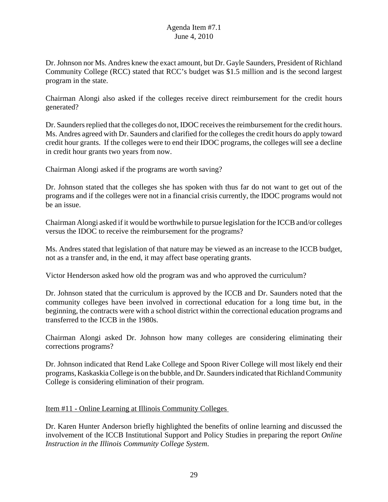Dr. Johnson nor Ms. Andres knew the exact amount, but Dr. Gayle Saunders, President of Richland Community College (RCC) stated that RCC's budget was \$1.5 million and is the second largest program in the state.

Chairman Alongi also asked if the colleges receive direct reimbursement for the credit hours generated?

Dr. Saunders replied that the colleges do not, IDOC receives the reimbursement for the credit hours. Ms. Andres agreed with Dr. Saunders and clarified for the colleges the credit hours do apply toward credit hour grants. If the colleges were to end their IDOC programs, the colleges will see a decline in credit hour grants two years from now.

Chairman Alongi asked if the programs are worth saving?

Dr. Johnson stated that the colleges she has spoken with thus far do not want to get out of the programs and if the colleges were not in a financial crisis currently, the IDOC programs would not be an issue.

Chairman Alongi asked if it would be worthwhile to pursue legislation for the ICCB and/or colleges versus the IDOC to receive the reimbursement for the programs?

Ms. Andres stated that legislation of that nature may be viewed as an increase to the ICCB budget, not as a transfer and, in the end, it may affect base operating grants.

Victor Henderson asked how old the program was and who approved the curriculum?

Dr. Johnson stated that the curriculum is approved by the ICCB and Dr. Saunders noted that the community colleges have been involved in correctional education for a long time but, in the beginning, the contracts were with a school district within the correctional education programs and transferred to the ICCB in the 1980s.

Chairman Alongi asked Dr. Johnson how many colleges are considering eliminating their corrections programs?

Dr. Johnson indicated that Rend Lake College and Spoon River College will most likely end their programs, Kaskaskia College is on the bubble, and Dr. Saunders indicated that Richland Community College is considering elimination of their program.

#### Item #11 - Online Learning at Illinois Community Colleges

Dr. Karen Hunter Anderson briefly highlighted the benefits of online learning and discussed the involvement of the ICCB Institutional Support and Policy Studies in preparing the report *Online Instruction in the Illinois Community College System*.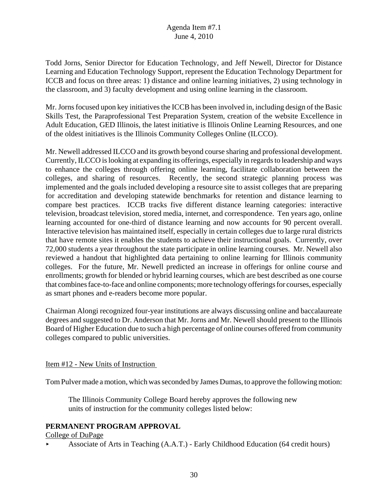Todd Jorns, Senior Director for Education Technology, and Jeff Newell, Director for Distance Learning and Education Technology Support, represent the Education Technology Department for ICCB and focus on three areas: 1) distance and online learning initiatives, 2) using technology in the classroom, and 3) faculty development and using online learning in the classroom.

Mr. Jorns focused upon key initiatives the ICCB has been involved in, including design of the Basic Skills Test, the Paraprofessional Test Preparation System, creation of the website Excellence in Adult Education, GED Illinois, the latest initiative is Illinois Online Learning Resources, and one of the oldest initiatives is the Illinois Community Colleges Online (ILCCO).

Mr. Newell addressed ILCCO and its growth beyond course sharing and professional development. Currently, ILCCO is looking at expanding its offerings, especially in regards to leadership and ways to enhance the colleges through offering online learning, facilitate collaboration between the colleges, and sharing of resources. Recently, the second strategic planning process was implemented and the goals included developing a resource site to assist colleges that are preparing for accreditation and developing statewide benchmarks for retention and distance learning to compare best practices. ICCB tracks five different distance learning categories: interactive television, broadcast television, stored media, internet, and correspondence. Ten years ago, online learning accounted for one-third of distance learning and now accounts for 90 percent overall. Interactive television has maintained itself, especially in certain colleges due to large rural districts that have remote sites it enables the students to achieve their instructional goals. Currently, over 72,000 students a year throughout the state participate in online learning courses. Mr. Newell also reviewed a handout that highlighted data pertaining to online learning for Illinois community colleges. For the future, Mr. Newell predicted an increase in offerings for online course and enrollments; growth for blended or hybrid learning courses, which are best described as one course that combines face-to-face and online components; more technology offerings for courses, especially as smart phones and e-readers become more popular.

Chairman Alongi recognized four-year institutions are always discussing online and baccalaureate degrees and suggested to Dr. Anderson that Mr. Jorns and Mr. Newell should present to the Illinois Board of Higher Education due to such a high percentage of online courses offered from community colleges compared to public universities.

## Item #12 - New Units of Instruction

Tom Pulver made a motion, which was seconded by James Dumas, to approve the following motion:

The Illinois Community College Board hereby approves the following new units of instruction for the community colleges listed below:

## **PERMANENT PROGRAM APPROVAL**

#### College of DuPage

< Associate of Arts in Teaching (A.A.T.) - Early Childhood Education (64 credit hours)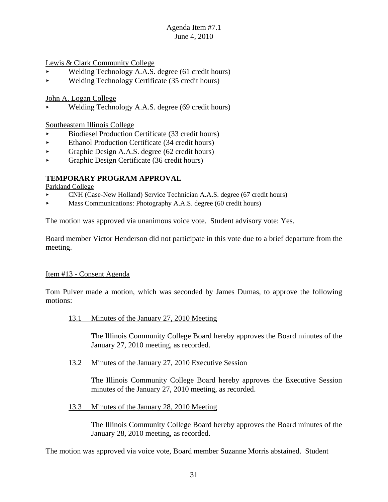Lewis & Clark Community College

- < Welding Technology A.A.S. degree (61 credit hours)
- < Welding Technology Certificate (35 credit hours)

John A. Logan College

< Welding Technology A.A.S. degree (69 credit hours)

Southeastern Illinois College

- < Biodiesel Production Certificate (33 credit hours)
- Ethanol Production Certificate (34 credit hours)
- $\triangleright$  Graphic Design A.A.S. degree (62 credit hours)
- < Graphic Design Certificate (36 credit hours)

## **TEMPORARY PROGRAM APPROVAL**

Parkland College

- < CNH (Case-New Holland) Service Technician A.A.S. degree (67 credit hours)
- $\blacktriangleright$  Mass Communications: Photography A.A.S. degree (60 credit hours)

The motion was approved via unanimous voice vote. Student advisory vote: Yes.

Board member Victor Henderson did not participate in this vote due to a brief departure from the meeting.

#### Item #13 - Consent Agenda

Tom Pulver made a motion, which was seconded by James Dumas, to approve the following motions:

13.1 Minutes of the January 27, 2010 Meeting

The Illinois Community College Board hereby approves the Board minutes of the January 27, 2010 meeting, as recorded.

13.2 Minutes of the January 27, 2010 Executive Session

The Illinois Community College Board hereby approves the Executive Session minutes of the January 27, 2010 meeting, as recorded.

13.3 Minutes of the January 28, 2010 Meeting

The Illinois Community College Board hereby approves the Board minutes of the January 28, 2010 meeting, as recorded.

The motion was approved via voice vote, Board member Suzanne Morris abstained. Student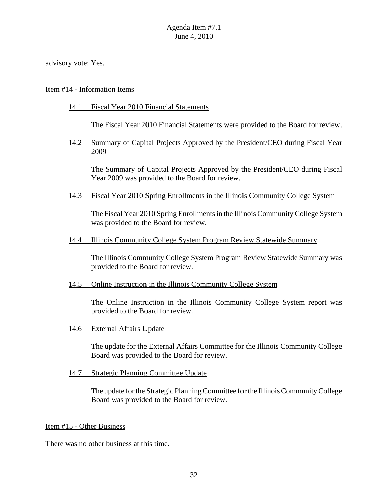advisory vote: Yes.

#### Item #14 - Information Items

#### 14.1 Fiscal Year 2010 Financial Statements

The Fiscal Year 2010 Financial Statements were provided to the Board for review.

14.2 Summary of Capital Projects Approved by the President/CEO during Fiscal Year 2009

The Summary of Capital Projects Approved by the President/CEO during Fiscal Year 2009 was provided to the Board for review.

14.3 Fiscal Year 2010 Spring Enrollments in the Illinois Community College System

The Fiscal Year 2010 Spring Enrollments in the Illinois Community College System was provided to the Board for review.

#### 14.4 Illinois Community College System Program Review Statewide Summary

The Illinois Community College System Program Review Statewide Summary was provided to the Board for review.

#### 14.5 Online Instruction in the Illinois Community College System

The Online Instruction in the Illinois Community College System report was provided to the Board for review.

14.6 External Affairs Update

The update for the External Affairs Committee for the Illinois Community College Board was provided to the Board for review.

14.7 Strategic Planning Committee Update

The update for the Strategic Planning Committee for the Illinois Community College Board was provided to the Board for review.

#### Item #15 - Other Business

There was no other business at this time.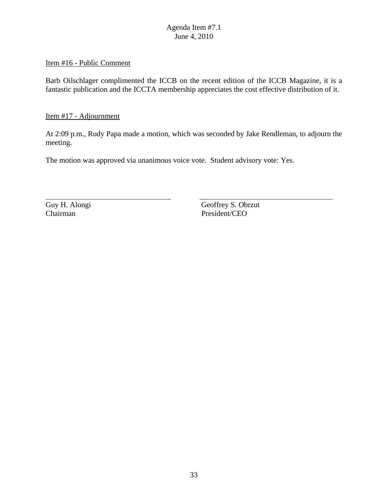#### Item #16 - Public Comment

Barb Oilschlager complimented the ICCB on the recent edition of the ICCB Magazine, it is a fantastic publication and the ICCTA membership appreciates the cost effective distribution of it.

Item #17 - Adjournment

At 2:09 p.m., Rudy Papa made a motion, which was seconded by Jake Rendleman, to adjourn the meeting.

The motion was approved via unanimous voice vote. Student advisory vote: Yes.

Guy H. Alongi Geoffrey S. Obrzut Chairman President/CEO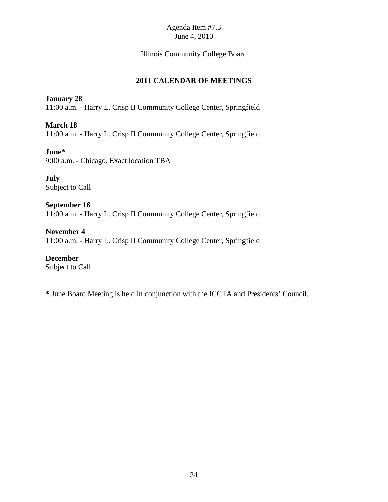## Illinois Community College Board

## **2011 CALENDAR OF MEETINGS**

**January 28** 11:00 a.m. - Harry L. Crisp II Community College Center, Springfield

**March 18** 11:00 a.m. - Harry L. Crisp II Community College Center, Springfield

**June\*** 9:00 a.m. - Chicago, Exact location TBA

**July** Subject to Call

**September 16** 11:00 a.m. - Harry L. Crisp II Community College Center, Springfield

**November 4** 11:00 a.m. - Harry L. Crisp II Community College Center, Springfield

**December** Subject to Call

**\*** June Board Meeting is held in conjunction with the ICCTA and Presidents' Council.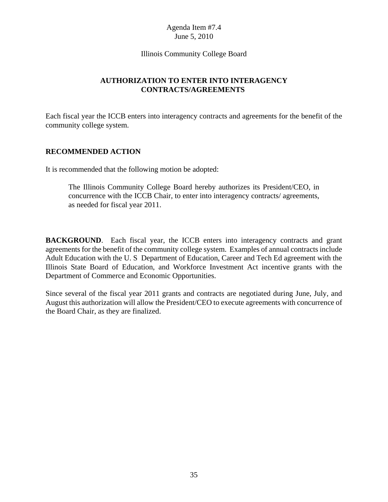#### Illinois Community College Board

## **AUTHORIZATION TO ENTER INTO INTERAGENCY CONTRACTS/AGREEMENTS**

Each fiscal year the ICCB enters into interagency contracts and agreements for the benefit of the community college system.

## **RECOMMENDED ACTION**

It is recommended that the following motion be adopted:

The Illinois Community College Board hereby authorizes its President/CEO, in concurrence with the ICCB Chair, to enter into interagency contracts/ agreements, as needed for fiscal year 2011.

**BACKGROUND**. Each fiscal year, the ICCB enters into interagency contracts and grant agreements for the benefit of the community college system. Examples of annual contracts include Adult Education with the U. S Department of Education, Career and Tech Ed agreement with the Illinois State Board of Education, and Workforce Investment Act incentive grants with the Department of Commerce and Economic Opportunities.

Since several of the fiscal year 2011 grants and contracts are negotiated during June, July, and August this authorization will allow the President/CEO to execute agreements with concurrence of the Board Chair, as they are finalized.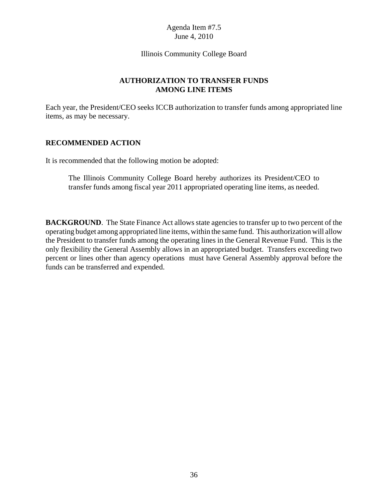#### Illinois Community College Board

## **AUTHORIZATION TO TRANSFER FUNDS AMONG LINE ITEMS**

Each year, the President/CEO seeks ICCB authorization to transfer funds among appropriated line items, as may be necessary.

## **RECOMMENDED ACTION**

It is recommended that the following motion be adopted:

The Illinois Community College Board hereby authorizes its President/CEO to transfer funds among fiscal year 2011 appropriated operating line items, as needed.

**BACKGROUND**. The State Finance Act allows state agencies to transfer up to two percent of the operating budget among appropriated line items, within the same fund. This authorization will allow the President to transfer funds among the operating lines in the General Revenue Fund. This is the only flexibility the General Assembly allows in an appropriated budget. Transfers exceeding two percent or lines other than agency operations must have General Assembly approval before the funds can be transferred and expended.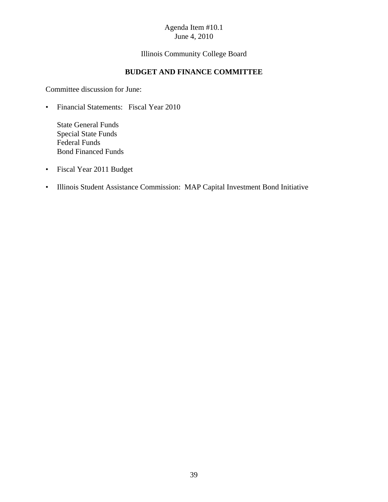Illinois Community College Board

## **BUDGET AND FINANCE COMMITTEE**

Committee discussion for June:

• Financial Statements: Fiscal Year 2010

State General Funds Special State Funds Federal Funds Bond Financed Funds

- Fiscal Year 2011 Budget
- Illinois Student Assistance Commission: MAP Capital Investment Bond Initiative